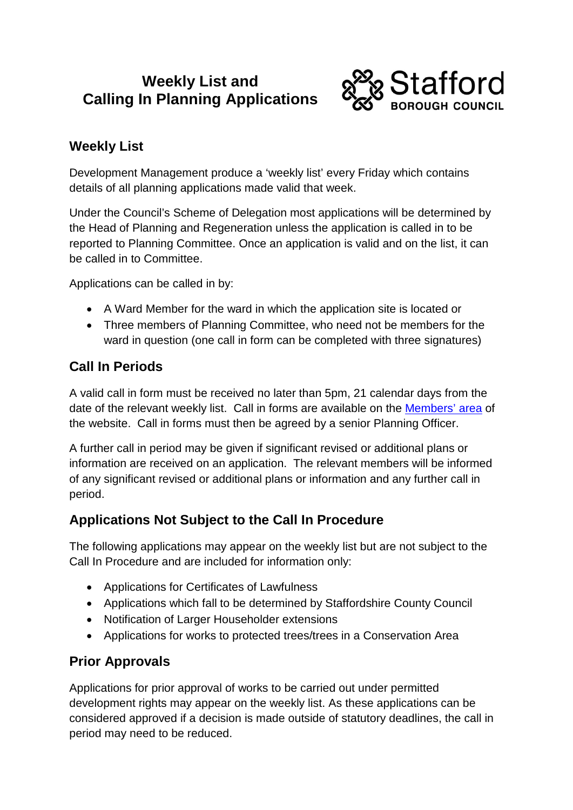# **Weekly List and Calling In Planning Applications**



## **Weekly List**

Development Management produce a 'weekly list' every Friday which contains details of all planning applications made valid that week.

Under the Council's Scheme of Delegation most applications will be determined by the Head of Planning and Regeneration unless the application is called in to be reported to Planning Committee. Once an application is valid and on the list, it can be called in to Committee.

Applications can be called in by:

- A Ward Member for the ward in which the application site is located or
- Three members of Planning Committee, who need not be members for the ward in question (one call in form can be completed with three signatures)

#### **Call In Periods**

A valid call in form must be received no later than 5pm, 21 calendar days from the date of the relevant weekly list. Call in forms are available on the [Members' area](http://www.staffordbc.gov.uk/live/cme6115.htm) of the website. Call in forms must then be agreed by a senior Planning Officer.

A further call in period may be given if significant revised or additional plans or information are received on an application. The relevant members will be informed of any significant revised or additional plans or information and any further call in period.

## **Applications Not Subject to the Call In Procedure**

The following applications may appear on the weekly list but are not subject to the Call In Procedure and are included for information only:

- Applications for Certificates of Lawfulness
- Applications which fall to be determined by Staffordshire County Council
- Notification of Larger Householder extensions
- Applications for works to protected trees/trees in a Conservation Area

## **Prior Approvals**

Applications for prior approval of works to be carried out under permitted development rights may appear on the weekly list. As these applications can be considered approved if a decision is made outside of statutory deadlines, the call in period may need to be reduced.